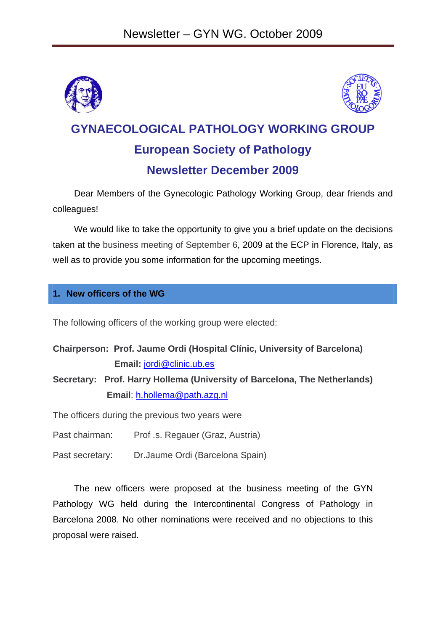



# **GYNAECOLOGICAL PATHOLOGY WORKING GROUP European Society of Pathology Newsletter December 2009**

Dear Members of the Gynecologic Pathology Working Group, dear friends and colleagues!

We would like to take the opportunity to give you a brief update on the decisions taken at the business meeting of September 6, 2009 at the ECP in Florence, Italy, as well as to provide you some information for the upcoming meetings.

# **1. New officers of the WG**

The following officers of the working group were elected:

| Chairperson: Prof. Jaume Ordi (Hospital Clínic, University of Barcelona) |
|--------------------------------------------------------------------------|
| Email: jordi@clinic.ub.es                                                |

**Secretary: Prof. Harry Hollema (University of Barcelona, The Netherlands) Email**: h.hollema@path.azg.nl

The officers during the previous two years were

Past chairman: Prof .s. Regauer (Graz, Austria)

Past secretary: Dr.Jaume Ordi (Barcelona Spain)

The new officers were proposed at the business meeting of the GYN Pathology WG held during the Intercontinental Congress of Pathology in Barcelona 2008. No other nominations were received and no objections to this proposal were raised.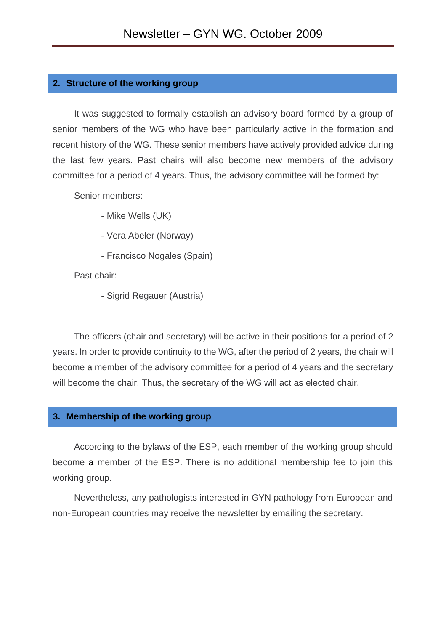#### **2. Structure of the working group**

It was suggested to formally establish an advisory board formed by a group of senior members of the WG who have been particularly active in the formation and recent history of the WG. These senior members have actively provided advice during the last few years. Past chairs will also become new members of the advisory committee for a period of 4 years. Thus, the advisory committee will be formed by:

Senior members:

- Mike Wells (UK)
- Vera Abeler (Norway)
- Francisco Nogales (Spain)

Past chair:

- Sigrid Regauer (Austria)

The officers (chair and secretary) will be active in their positions for a period of 2 years. In order to provide continuity to the WG, after the period of 2 years, the chair will become a member of the advisory committee for a period of 4 years and the secretary will become the chair. Thus, the secretary of the WG will act as elected chair.

#### **3. Membership of the working group**

According to the bylaws of the ESP, each member of the working group should become a member of the ESP. There is no additional membership fee to join this working group.

Nevertheless, any pathologists interested in GYN pathology from European and non-European countries may receive the newsletter by emailing the secretary.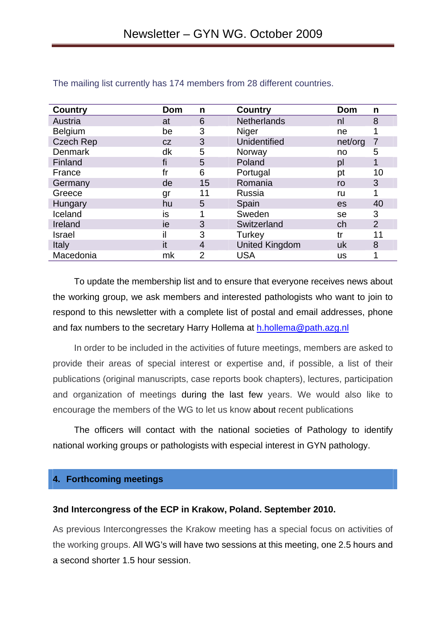| <b>Country</b>   | Dom | n              | <b>Country</b>        | Dom     | n              |
|------------------|-----|----------------|-----------------------|---------|----------------|
| Austria          | at  | 6              | <b>Netherlands</b>    | nl      | 8              |
| <b>Belgium</b>   | be  | 3              | Niger                 | ne      | 1              |
| <b>Czech Rep</b> | CZ  | 3              | Unidentified          | net/org | $\overline{7}$ |
| <b>Denmark</b>   | dk  | 5              | Norway                | no      | 5              |
| Finland          | fi  | 5              | Poland                | pl      | $\mathbf{1}$   |
| France           | fr  | 6              | Portugal              | pt      | 10             |
| Germany          | de  | 15             | Romania               | ro      | 3              |
| Greece           | gr  | 11             | Russia                | ru      | 1              |
| Hungary          | hu  | 5              | Spain                 | es      | 40             |
| Iceland          | is  | 1              | Sweden                | se      | 3              |
| Ireland          | ie  | 3              | Switzerland           | ch      | 2              |
| <b>Israel</b>    | il  | 3              | Turkey                | tr      | 11             |
| Italy            | it  | $\overline{4}$ | <b>United Kingdom</b> | uk      | 8              |
| Macedonia        | mk  | $\overline{2}$ | <b>USA</b>            | us      | 1              |

#### The mailing list currently has 174 members from 28 different countries.

To update the membership list and to ensure that everyone receives news about the working group, we ask members and interested pathologists who want to join to respond to this newsletter with a complete list of postal and email addresses, phone and fax numbers to the secretary Harry Hollema at h.hollema@path.azg.nl

In order to be included in the activities of future meetings, members are asked to provide their areas of special interest or expertise and, if possible, a list of their publications (original manuscripts, case reports book chapters), lectures, participation and organization of meetings during the last few years. We would also like to encourage the members of the WG to let us know about recent publications

The officers will contact with the national societies of Pathology to identify national working groups or pathologists with especial interest in GYN pathology.

## **4. Forthcoming meetings**

## **3nd Intercongress of the ECP in Krakow, Poland. September 2010.**

As previous Intercongresses the Krakow meeting has a special focus on activities of the working groups. All WG's will have two sessions at this meeting, one 2.5 hours and a second shorter 1.5 hour session.